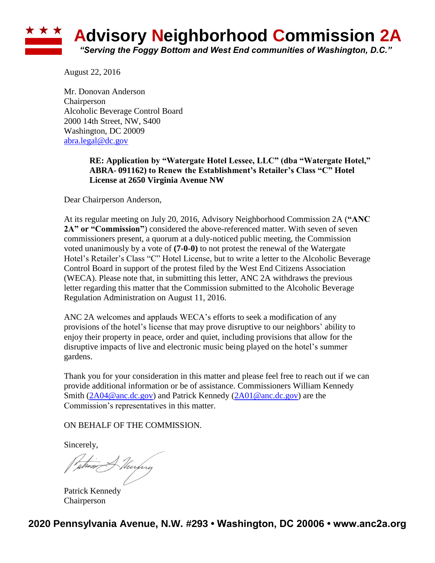## **\* \* \* Advisory Neighborhood Commission 2A** *"Serving the Foggy Bottom and West End communities of Washington, D.C."*

August 22, 2016

Mr. Donovan Anderson Chairperson Alcoholic Beverage Control Board 2000 14th Street, NW, S400 Washington, DC 20009 [abra.legal@dc.gov](mailto:abra.legal@dc.gov)

## **RE: Application by "Watergate Hotel Lessee, LLC" (dba "Watergate Hotel," ABRA- 091162) to Renew the Establishment's Retailer's Class "C" Hotel License at 2650 Virginia Avenue NW**

Dear Chairperson Anderson,

At its regular meeting on July 20, 2016, Advisory Neighborhood Commission 2A (**"ANC 2A" or "Commission"**) considered the above-referenced matter. With seven of seven commissioners present, a quorum at a duly-noticed public meeting, the Commission voted unanimously by a vote of **(7-0-0)** to not protest the renewal of the Watergate Hotel's Retailer's Class "C" Hotel License, but to write a letter to the Alcoholic Beverage Control Board in support of the protest filed by the West End Citizens Association (WECA). Please note that, in submitting this letter, ANC 2A withdraws the previous letter regarding this matter that the Commission submitted to the Alcoholic Beverage Regulation Administration on August 11, 2016.

ANC 2A welcomes and applauds WECA's efforts to seek a modification of any provisions of the hotel's license that may prove disruptive to our neighbors' ability to enjoy their property in peace, order and quiet, including provisions that allow for the disruptive impacts of live and electronic music being played on the hotel's summer gardens.

Thank you for your consideration in this matter and please feel free to reach out if we can provide additional information or be of assistance. Commissioners William Kennedy Smith [\(2A04@anc.dc.gov\)](mailto:2A04@anc.dc.gov) and Patrick Kennedy [\(2A01@anc.dc.gov\)](mailto:2A01@anc.dc.gov) are the Commission's representatives in this matter.

ON BEHALF OF THE COMMISSION.

Sincerely,

Patrick Kennedy Chairperson

**2020 Pennsylvania Avenue, N.W. #293 • Washington, DC 20006 • www.anc2a.org**